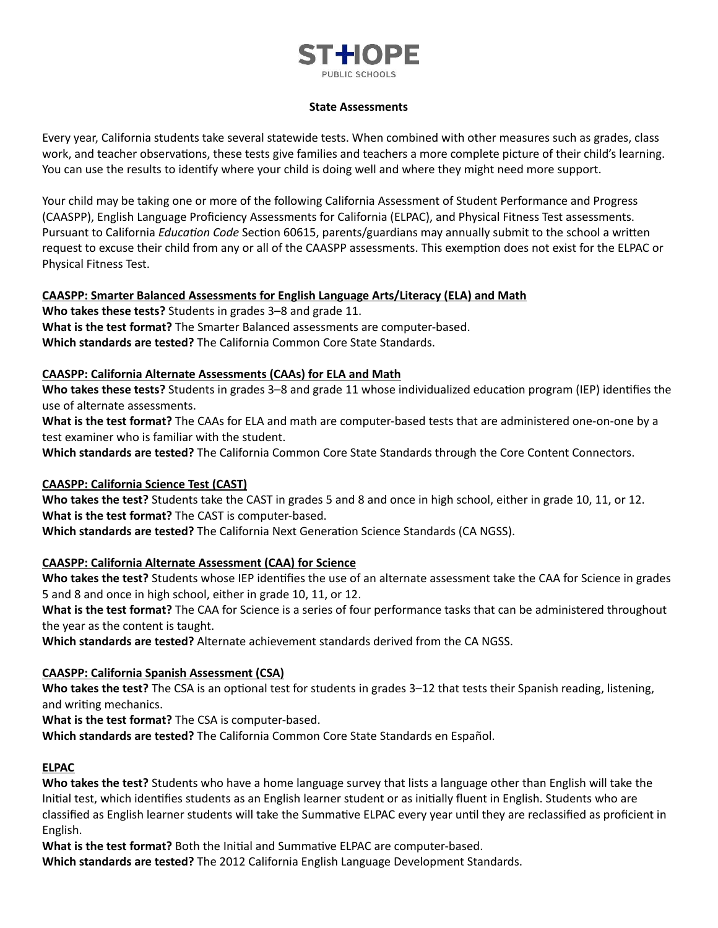# STHOPF URLIC SCHOOLS

#### **State Assessments**

Every year, California students take several statewide tests. When combined with other measures such as grades, class work, and teacher observations, these tests give families and teachers a more complete picture of their child's learning. You can use the results to identify where your child is doing well and where they might need more support.

Your child may be taking one or more of the following California Assessment of Student Performance and Progress (CAASPP), English Language Proficiency Assessments for California (ELPAC), and Physical Fitness Test assessments. Pursuant to California *Education Code* Section 60615, parents/guardians may annually submit to the school a written request to excuse their child from any or all of the CAASPP assessments. This exemption does not exist for the ELPAC or Physical Fitness Test.

#### **CAASPP: Smarter Balanced Assessments for English Language Arts/Literacy (ELA) and Math**

**Who takes these tests?** Students in grades 3–8 and grade 11. **What is the test format?** The Smarter Balanced assessments are computer-based. **Which standards are tested?** The California Common Core State Standards.

## **CAASPP: California Alternate Assessments (CAAs) for ELA and Math**

Who takes these tests? Students in grades 3-8 and grade 11 whose individualized education program (IEP) identifies the use of alternate assessments.

**What is the test format?** The CAAs for ELA and math are computer-based tests that are administered one-on-one by a test examiner who is familiar with the student.

**Which standards are tested?** The California Common Core State Standards through the Core Content Connectors.

# **CAASPP: California Science Test (CAST)**

**Who takes the test?** Students take the CAST in grades 5 and 8 and once in high school, either in grade 10, 11, or 12. **What is the test format?** The CAST is computer-based.

**Which standards are tested?** The California Next Generation Science Standards (CA NGSS).

# **CAASPP: California Alternate Assessment (CAA) for Science**

**Who takes the test?** Students whose IEP idenfies the use of an alternate assessment take the CAA for Science in grades 5 and 8 and once in high school, either in grade 10, 11, or 12.

**What is the test format?** The CAA for Science is a series of four performance tasks that can be administered throughout the year as the content is taught.

**Which standards are tested?** Alternate achievement standards derived from the CA NGSS.

# **CAASPP: California Spanish Assessment (CSA)**

**Who takes the test?** The CSA is an optional test for students in grades 3-12 that tests their Spanish reading, listening, and writing mechanics.

**What is the test format?** The CSA is computer-based.

**Which standards are tested?** The California Common Core State Standards en Español.

#### **ELPAC**

**Who takes the test?** Students who have a home language survey that lists a language other than English will take the Initial test, which identifies students as an English learner student or as initially fluent in English. Students who are classified as English learner students will take the Summative ELPAC every year until they are reclassified as proficient in English.

**What is the test format?** Both the Initial and Summative ELPAC are computer-based.

**Which standards are tested?** The 2012 California English Language Development Standards.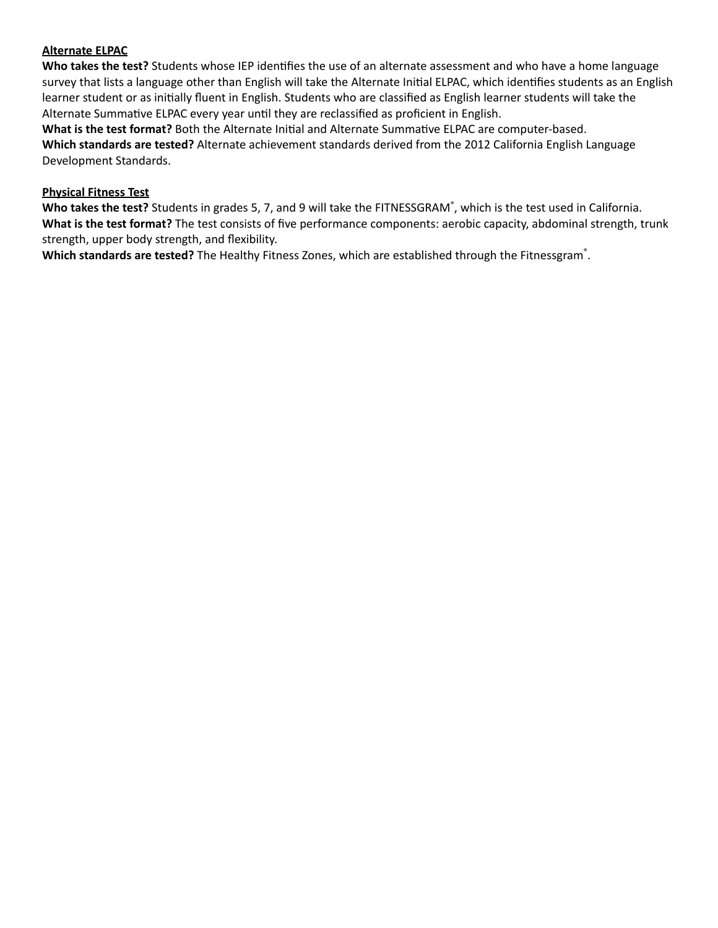#### **Alternate ELPAC**

**Who takes the test?** Students whose IEP idenfies the use of an alternate assessment and who have a home language survey that lists a language other than English will take the Alternate Initial ELPAC, which identifies students as an English learner student or as initially fluent in English. Students who are classified as English learner students will take the Alternate Summative ELPAC every year until they are reclassified as proficient in English.

**What is the test format?** Both the Alternate Initial and Alternate Summative ELPAC are computer-based. **Which standards are tested?** Alternate achievement standards derived from the 2012 California English Language Development Standards.

### **Physical Fitness Test**

Who takes the test? Students in grades 5, 7, and 9 will take the FITNESSGRAM®, which is the test used in California. **What is the test format?** The test consists of five performance components: aerobic capacity, abdominal strength, trunk strength, upper body strength, and flexibility.

**Which standards are tested?** The Healthy Fitness Zones, which are established through the Fitnessgram ® .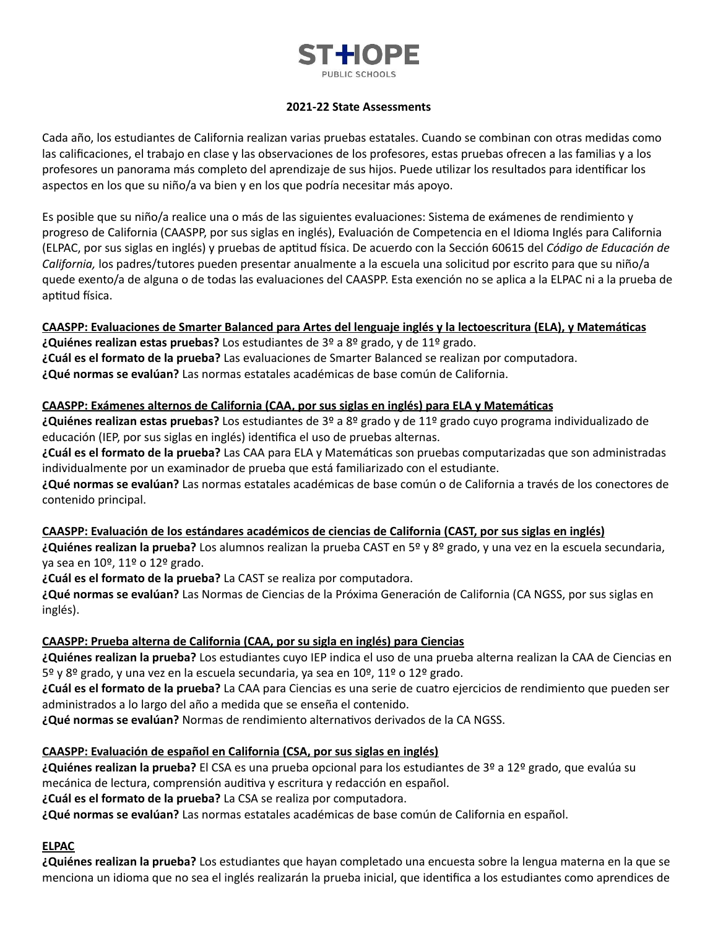

#### **2021-22 State Assessments**

Cada año, los estudiantes de California realizan varias pruebas estatales. Cuando se combinan con otras medidas como las calificaciones, el trabajo en clase y las observaciones de los profesores, estas pruebas ofrecen a las familias y a los profesores un panorama más completo del aprendizaje de sus hijos. Puede ulizar los resultados para idenficar los aspectos en los que su niño/a va bien y en los que podría necesitar más apoyo.

Es posible que su niño/a realice una o más de las siguientes evaluaciones: Sistema de exámenes de rendimiento y progreso de California (CAASPP, por sus siglas en inglés), Evaluación de Competencia en el Idioma Inglés para California (ELPAC, por sus siglas en inglés) y pruebas de aptitud física. De acuerdo con la Sección 60615 del Código de Educación de *California,* los padres/tutores pueden presentar anualmente a la escuela una solicitud por escrito para que su niño/a quede exento/a de alguna o de todas las evaluaciones del CAASPP. Esta exención no se aplica a la ELPAC ni a la prueba de aptitud física.

#### **CAASPP: Evaluaciones de Smarter Balanced para Artes del lenguaje inglés y la lectoescritura (ELA), y Matemácas**

**¿Quiénes realizan estas pruebas?** Los estudiantes de 3º a 8º grado, y de 11º grado. **¿Cuál es el formato de la prueba?** Las evaluaciones de Smarter Balanced se realizan por computadora. **¿Qué normas se evalúan?** Las normas estatales académicas de base común de California.

#### **CAASPP: Exámenes alternos de California (CAA, por sus siglas en inglés) para ELA y Matemácas**

**¿Quiénes realizan estas pruebas?** Los estudiantes de 3º a 8º grado y de 11º grado cuyo programa individualizado de educación (IEP, por sus siglas en inglés) idenfica el uso de pruebas alternas.

**¿Cuál es el formato de la prueba?** Las CAA para ELA y Matemácas son pruebas computarizadas que son administradas individualmente por un examinador de prueba que está familiarizado con el estudiante.

**¿Qué normas se evalúan?** Las normas estatales académicas de base común o de California a través de los conectores de contenido principal.

#### **CAASPP: Evaluación de los estándares académicos de ciencias de California (CAST, por sus siglas en inglés)**

**¿Quiénes realizan la prueba?** Los alumnos realizan la prueba CAST en 5º y 8º grado, y una vez en la escuela secundaria, ya sea en 10º, 11º o 12º grado.

**¿Cuál es el formato de la prueba?** La CAST se realiza por computadora.

**¿Qué normas se evalúan?** Las Normas de Ciencias de la Próxima Generación de California (CA NGSS, por sus siglas en inglés).

#### **CAASPP: Prueba alterna de California (CAA, por su sigla en inglés) para Ciencias**

**¿Quiénes realizan la prueba?** Los estudiantes cuyo IEP indica el uso de una prueba alterna realizan la CAA de Ciencias en 5º y 8º grado, y una vez en la escuela secundaria, ya sea en 10º, 11º o 12º grado.

**¿Cuál es el formato de la prueba?** La CAA para Ciencias es una serie de cuatro ejercicios de rendimiento que pueden ser administrados a lo largo del año a medida que se enseña el contenido.

 $i$ Qué normas se evalúan? Normas de rendimiento alternativos derivados de la CA NGSS.

#### **CAASPP: Evaluación de español en California (CSA, por sus siglas en inglés)**

**¿Quiénes realizan la prueba?** El CSA es una prueba opcional para los estudiantes de 3º a 12º grado, que evalúa su mecánica de lectura, comprensión auditiva y escritura y redacción en español.

**¿Cuál es el formato de la prueba?** La CSA se realiza por computadora.

**¿Qué normas se evalúan?** Las normas estatales académicas de base común de California en español.

## **ELPAC**

**¿Quiénes realizan la prueba?** Los estudiantes que hayan completado una encuesta sobre la lengua materna en la que se menciona un idioma que no sea el inglés realizarán la prueba inicial, que idenfica a los estudiantes como aprendices de